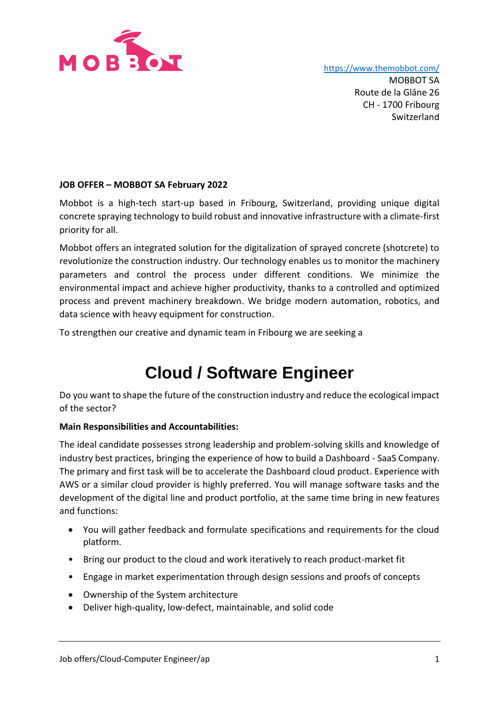

<https://www.themobbot.com/>

MOBBOT SA Route de la Glâne 26 CH - 1700 Fribourg Switzerland

## **JOB OFFER – MOBBOT SA February 2022**

Mobbot is a high-tech start-up based in Fribourg, Switzerland, providing unique digital concrete spraying technology to build robust and innovative infrastructure with a climate-first priority for all.

Mobbot offers an integrated solution for the digitalization of sprayed concrete (shotcrete) to revolutionize the construction industry. Our technology enables us to monitor the machinery parameters and control the process under different conditions. We minimize the environmental impact and achieve higher productivity, thanks to a controlled and optimized process and prevent machinery breakdown. We bridge modern automation, robotics, and data science with heavy equipment for construction.

To strengthen our creative and dynamic team in Fribourg we are seeking a

# **Cloud / Software Engineer**

Do you want to shape the future of the construction industry and reduce the ecological impact of the sector?

## **Main Responsibilities and Accountabilities:**

The ideal candidate possesses strong leadership and problem-solving skills and knowledge of industry best practices, bringing the experience of how to build a Dashboard - SaaS Company. The primary and first task will be to accelerate the Dashboard cloud product. Experience with AWS or a similar cloud provider is highly preferred. You will manage software tasks and the development of the digital line and product portfolio, at the same time bring in new features and functions:

- You will gather feedback and formulate specifications and requirements for the cloud platform.
- Bring our product to the cloud and work iteratively to reach product-market fit
- Engage in market experimentation through design sessions and proofs of concepts
- Ownership of the System architecture
- Deliver high-quality, low-defect, maintainable, and solid code